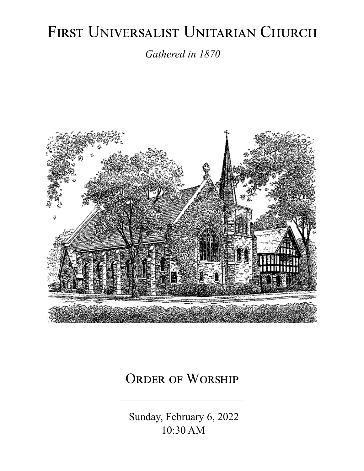# FIRST UNIVERSALIST UNITARIAN CHURCH

*Gathered in 1870*



# ORDER OF WORSHIP

 Sunday, February 6, 2022 10:30 AM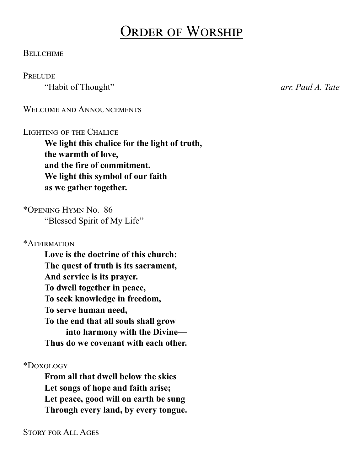# Order of Worship

#### **BELLCHIME**

#### **PRELUDE**

"Habit of Thought" *arr. Paul A. Tate*

WELCOME AND ANNOUNCEMENTS

#### LIGHTING OF THE CHALICE

**We light this chalice for the light of truth, the warmth of love, and the fire of commitment. We light this symbol of our faith as we gather together.**

\*Opening Hymn No. 86 "Blessed Spirit of My Life"

\*Affirmation

**Love is the doctrine of this church: The quest of truth is its sacrament, And service is its prayer. To dwell together in peace, To seek knowledge in freedom, To serve human need, To the end that all souls shall grow into harmony with the Divine— Thus do we covenant with each other.**

\*Doxology

**From all that dwell below the skies Let songs of hope and faith arise; Let peace, good will on earth be sung Through every land, by every tongue.**

Story for All Ages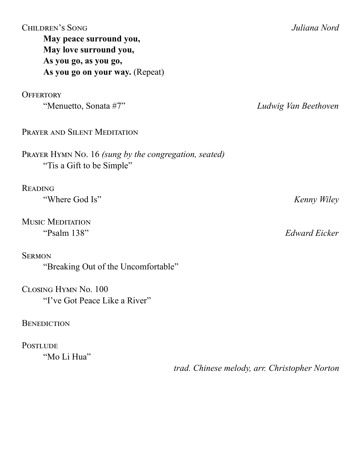| <b>CHILDREN'S SONG</b>                                                             | Juliana Nord                                  |
|------------------------------------------------------------------------------------|-----------------------------------------------|
| May peace surround you,                                                            |                                               |
| May love surround you,                                                             |                                               |
| As you go, as you go,                                                              |                                               |
| As you go on your way. (Repeat)                                                    |                                               |
| <b>OFFERTORY</b>                                                                   |                                               |
| "Menuetto, Sonata #7"                                                              | Ludwig Van Beethoven                          |
| PRAYER AND SILENT MEDITATION                                                       |                                               |
| PRAYER HYMN No. 16 (sung by the congregation, seated)<br>"Tis a Gift to be Simple" |                                               |
| <b>READING</b>                                                                     |                                               |
| "Where God Is"                                                                     | Kenny Wiley                                   |
| <b>MUSIC MEDITATION</b>                                                            |                                               |
| "Psalm 138"                                                                        | <b>Edward Eicker</b>                          |
| <b>SERMON</b>                                                                      |                                               |
| "Breaking Out of the Uncomfortable"                                                |                                               |
| CLOSING HYMN No. 100                                                               |                                               |
| "I've Got Peace Like a River"                                                      |                                               |
| <b>BENEDICTION</b>                                                                 |                                               |
| <b>POSTLUDE</b>                                                                    |                                               |
| "Mo Li Hua"                                                                        |                                               |
|                                                                                    | trad. Chinese melody, arr. Christopher Norton |